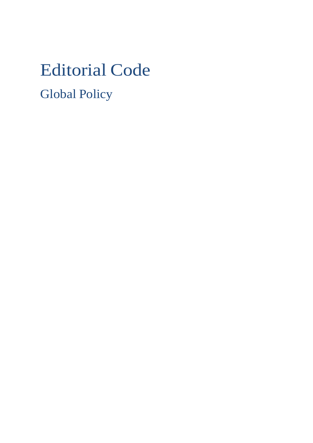# Editorial Code Global Policy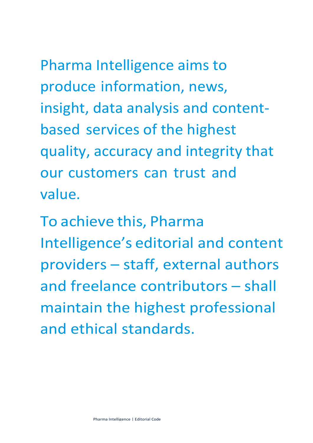Pharma Intelligence aims to produce information, news, insight, data analysis and contentbased services of the highest quality, accuracy and integrity that our customers can trust and value.

To achieve this, Pharma Intelligence's editorial and content providers – staff, external authors and freelance contributors – shall maintain the highest professional and ethical standards.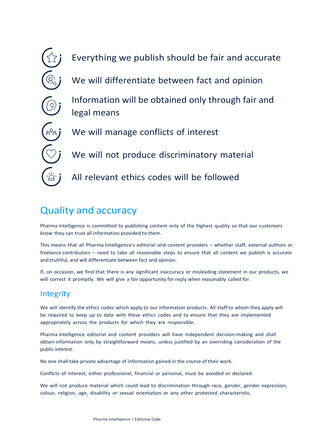

## Quality and accuracy

Pharma Intelligence is committed to publishing content only of the highest quality so that our customers know they can trust all information provided to them.

This means that all Pharma Intelligence's editorial and content providers – whether staff, external authors or freelance contributors – need to take all reasonable steps to ensure that all content we publish is accurate and truthful, and will differentiate between fact and opinion.

If, on occasion, we find that there is any significant inaccuracy or misleading statement in our products, we will correct it promptly. We will give a fair opportunity for reply when reasonably called for.

### **Integrity**

We will identify the ethics codes which apply to our information products. All staff to whom they apply will be required to keep up to date with these ethics codes and to ensure that they are implemented appropriately across the products for which they are responsible.

Pharma Intelligence editorial and content providers will have independent decision-making and shall obtain information only by straightforward means, unless justified by an overriding consideration of the public interest.

No one shall take private advantage of information gained in the course of their work.

Conflicts of interest, either professional, financial or personal, must be avoided or declared.

We will not produce material which could lead to discrimination through race, gender, gender expression, colour, religion, age, disability or sexual orientation or any other protected characteristic.